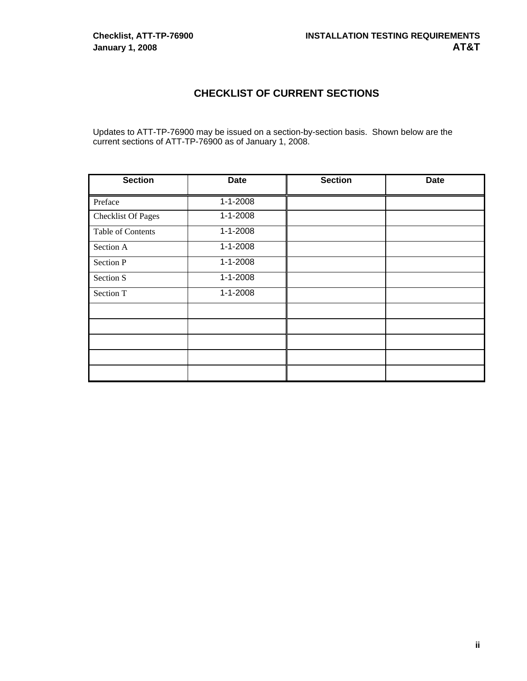# **CHECKLIST OF CURRENT SECTIONS**

Updates to ATT-TP-76900 may be issued on a section-by-section basis. Shown below are the current sections of ATT-TP-76900 as of January 1, 2008.

| <b>Section</b>            | <b>Date</b>    | <b>Section</b> | <b>Date</b> |
|---------------------------|----------------|----------------|-------------|
| Preface                   | $1 - 1 - 2008$ |                |             |
| <b>Checklist Of Pages</b> | $1 - 1 - 2008$ |                |             |
| Table of Contents         | $1 - 1 - 2008$ |                |             |
| Section A                 | $1 - 1 - 2008$ |                |             |
| Section P                 | $1 - 1 - 2008$ |                |             |
| Section S                 | $1 - 1 - 2008$ |                |             |
| Section T                 | $1 - 1 - 2008$ |                |             |
|                           |                |                |             |
|                           |                |                |             |
|                           |                |                |             |
|                           |                |                |             |
|                           |                |                |             |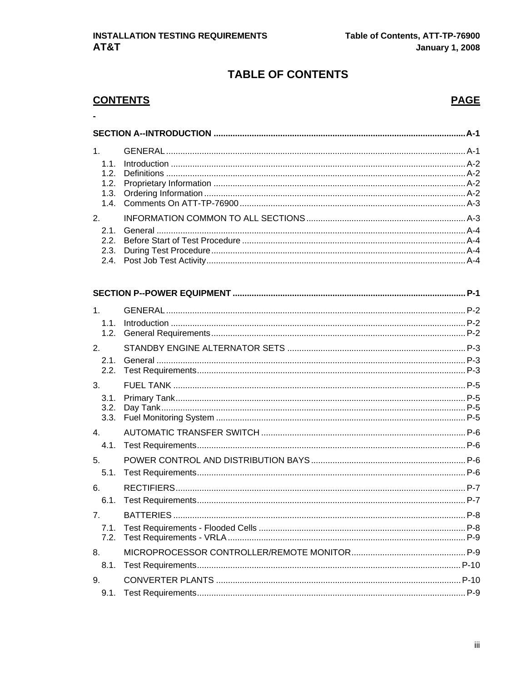# **TABLE OF CONTENTS**

# **CONTENTS**

 $\ddot{\phantom{a}}$ 

# **PAGE**

| 1.1.<br>1.2. |                                                                                                                 |  |
|--------------|-----------------------------------------------------------------------------------------------------------------|--|
| 2.           |                                                                                                                 |  |
|              |                                                                                                                 |  |
|              | the contract of the contract of the contract of the contract of the contract of the contract of the contract of |  |

| 1.1.           |  |
|----------------|--|
| 1.2.           |  |
| 2.             |  |
| 2.1.           |  |
| 2.2.           |  |
| 3 <sub>l</sub> |  |
| 3.1.           |  |
| 3.2.           |  |
| 3.3.           |  |
| $\mathbf{4}$ . |  |
| 4.1.           |  |
| 5 <sub>1</sub> |  |
| 5.1.           |  |
| 6.             |  |
| 6.1.           |  |
| 7 <sub>1</sub> |  |
| 7.1.           |  |
| 7.2.           |  |
| 8.             |  |
| 8.1.           |  |
| 9.             |  |
| 9.1.           |  |
|                |  |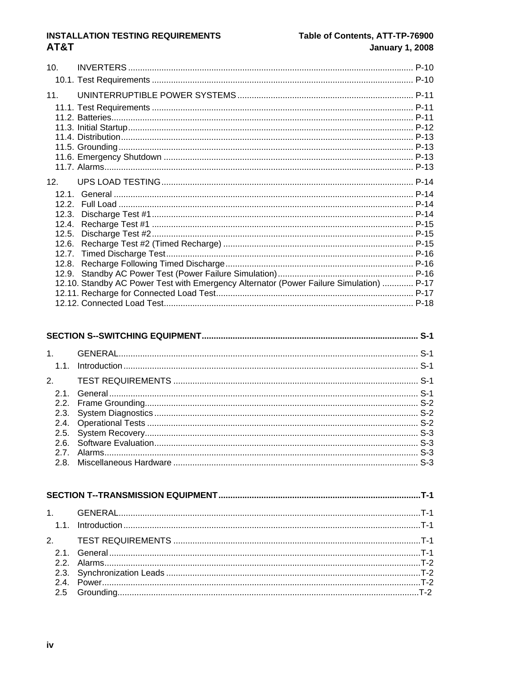#### **INSTALLATION TESTING REQUIREMENTS** AT&T

#### Table of Contents, ATT-TP-76900 **January 1, 2008**

| 10 <sub>1</sub> |                                                                                         |  |
|-----------------|-----------------------------------------------------------------------------------------|--|
|                 |                                                                                         |  |
| 11.             |                                                                                         |  |
|                 |                                                                                         |  |
|                 |                                                                                         |  |
|                 |                                                                                         |  |
|                 |                                                                                         |  |
|                 |                                                                                         |  |
|                 |                                                                                         |  |
|                 |                                                                                         |  |
| 12 <sub>1</sub> |                                                                                         |  |
|                 |                                                                                         |  |
|                 |                                                                                         |  |
| 12.3.           |                                                                                         |  |
|                 |                                                                                         |  |
|                 |                                                                                         |  |
|                 |                                                                                         |  |
|                 |                                                                                         |  |
|                 |                                                                                         |  |
|                 |                                                                                         |  |
|                 | 12.10. Standby AC Power Test with Emergency Alternator (Power Failure Simulation)  P-17 |  |
|                 |                                                                                         |  |
|                 |                                                                                         |  |

#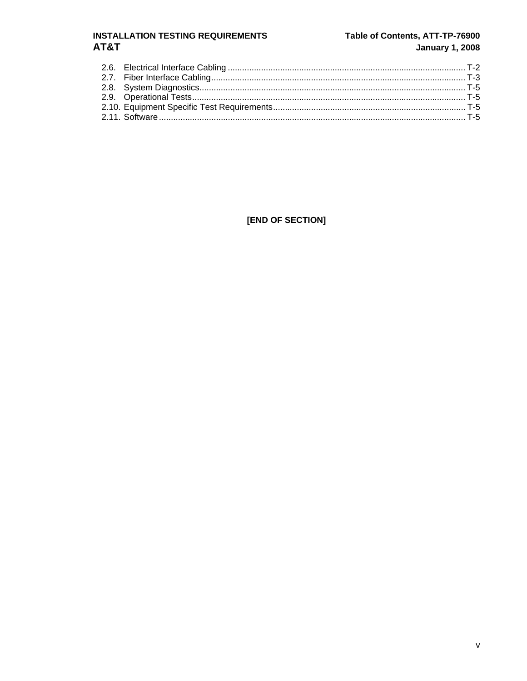#### **INSTALLATION TESTING REQUIREMENTS** AT&T

#### Table of Contents, ATT-TP-76900 **January 1, 2008**

[END OF SECTION]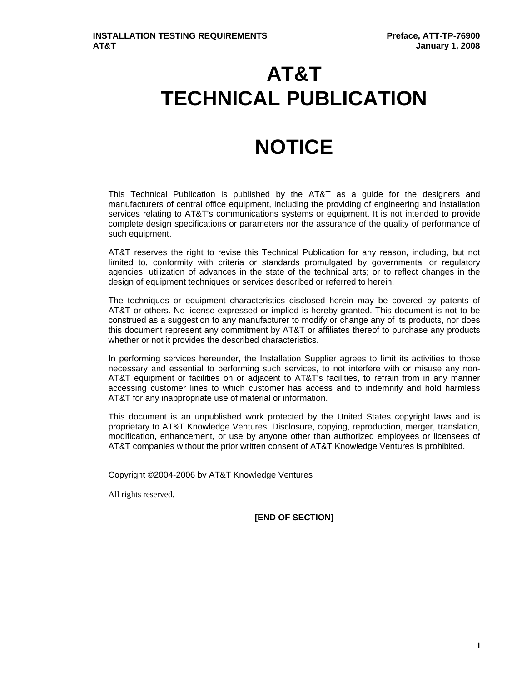# **AT&T TECHNICAL PUBLICATION**

# **NOTICE**

This Technical Publication is published by the AT&T as a guide for the designers and manufacturers of central office equipment, including the providing of engineering and installation services relating to AT&T's communications systems or equipment. It is not intended to provide complete design specifications or parameters nor the assurance of the quality of performance of such equipment.

AT&T reserves the right to revise this Technical Publication for any reason, including, but not limited to, conformity with criteria or standards promulgated by governmental or regulatory agencies; utilization of advances in the state of the technical arts; or to reflect changes in the design of equipment techniques or services described or referred to herein.

The techniques or equipment characteristics disclosed herein may be covered by patents of AT&T or others. No license expressed or implied is hereby granted. This document is not to be construed as a suggestion to any manufacturer to modify or change any of its products, nor does this document represent any commitment by AT&T or affiliates thereof to purchase any products whether or not it provides the described characteristics.

In performing services hereunder, the Installation Supplier agrees to limit its activities to those necessary and essential to performing such services, to not interfere with or misuse any non-AT&T equipment or facilities on or adjacent to AT&T's facilities, to refrain from in any manner accessing customer lines to which customer has access and to indemnify and hold harmless AT&T for any inappropriate use of material or information.

This document is an unpublished work protected by the United States copyright laws and is proprietary to AT&T Knowledge Ventures. Disclosure, copying, reproduction, merger, translation, modification, enhancement, or use by anyone other than authorized employees or licensees of AT&T companies without the prior written consent of AT&T Knowledge Ventures is prohibited.

Copyright ©2004-2006 by AT&T Knowledge Ventures

All rights reserved.

**[END OF SECTION]**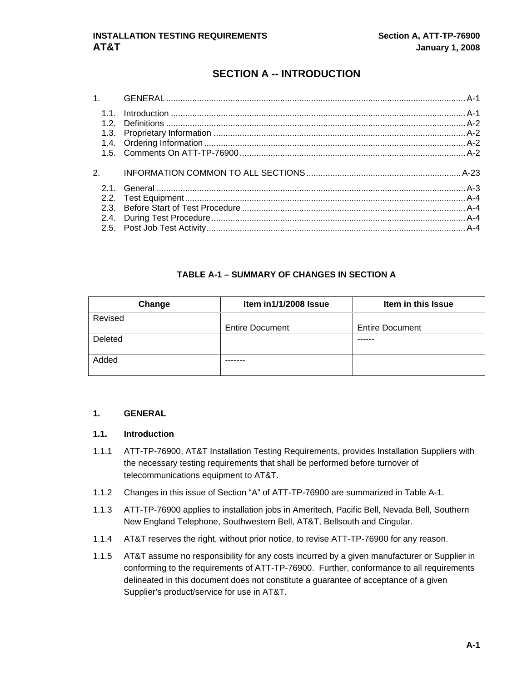# **SECTION A -- INTRODUCTION**

<span id="page-5-0"></span>

#### **TABLE A-1 – SUMMARY OF CHANGES IN SECTION A**

| Change  | Item in1/1/2008 Issue  | Item in this Issue     |
|---------|------------------------|------------------------|
| Revised |                        |                        |
|         | <b>Entire Document</b> | <b>Entire Document</b> |
| Deleted |                        |                        |
|         |                        |                        |
| Added   |                        |                        |
|         |                        |                        |

#### **1. GENERAL**

#### **1.1. Introduction**

- 1.1.1 ATT-TP-76900, AT&T Installation Testing Requirements, provides Installation Suppliers with the necessary testing requirements that shall be performed before turnover of telecommunications equipment to AT&T.
- 1.1.2 Changes in this issue of Section "A" of ATT-TP-76900 are summarized in Table A-1.
- 1.1.3 ATT-TP-76900 applies to installation jobs in Ameritech, Pacific Bell, Nevada Bell, Southern New England Telephone, Southwestern Bell, AT&T, Bellsouth and Cingular.
- 1.1.4 AT&T reserves the right, without prior notice, to revise ATT-TP-76900 for any reason.
- 1.1.5 AT&T assume no responsibility for any costs incurred by a given manufacturer or Supplier in conforming to the requirements of ATT-TP-76900. Further, conformance to all requirements delineated in this document does not constitute a guarantee of acceptance of a given Supplier's product/service for use in AT&T.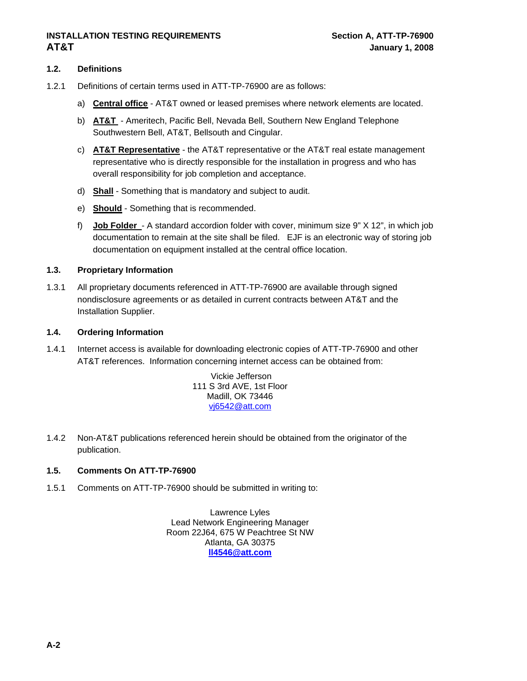#### <span id="page-6-0"></span>**1.2. Definitions**

- 1.2.1 Definitions of certain terms used in ATT-TP-76900 are as follows:
	- a) **Central office** AT&T owned or leased premises where network elements are located.
	- b) **AT&T**  Ameritech, Pacific Bell, Nevada Bell, Southern New England Telephone Southwestern Bell, AT&T, Bellsouth and Cingular.
	- c) **AT&T Representative** the AT&T representative or the AT&T real estate management representative who is directly responsible for the installation in progress and who has overall responsibility for job completion and acceptance.
	- d) **Shall** Something that is mandatory and subject to audit.
	- e) **Should** Something that is recommended.
	- f) **Job Folder**  A standard accordion folder with cover, minimum size 9" X 12", in which job documentation to remain at the site shall be filed. EJF is an electronic way of storing job documentation on equipment installed at the central office location.

#### **1.3. Proprietary Information**

1.3.1 All proprietary documents referenced in ATT-TP-76900 are available through signed nondisclosure agreements or as detailed in current contracts between AT&T and the Installation Supplier.

#### **1.4. Ordering Information**

1.4.1 Internet access is available for downloading electronic copies of ATT-TP-76900 and other AT&T references. Information concerning internet access can be obtained from:

> Vickie Jefferson 111 S 3rd AVE, 1st Floor Madill, OK 73446 [vj6542@att.com](mailto:vj6542@sbc.com)

1.4.2 Non-AT&T publications referenced herein should be obtained from the originator of the publication.

#### **1.5. Comments On ATT-TP-76900**

1.5.1 Comments on ATT-TP-76900 should be submitted in writing to:

Lawrence Lyles Lead Network Engineering Manager Room 22J64, 675 W Peachtree St NW Atlanta, GA 30375 **[ll4546@att.com](mailto:lawrence.lyles@bellsouth.com)**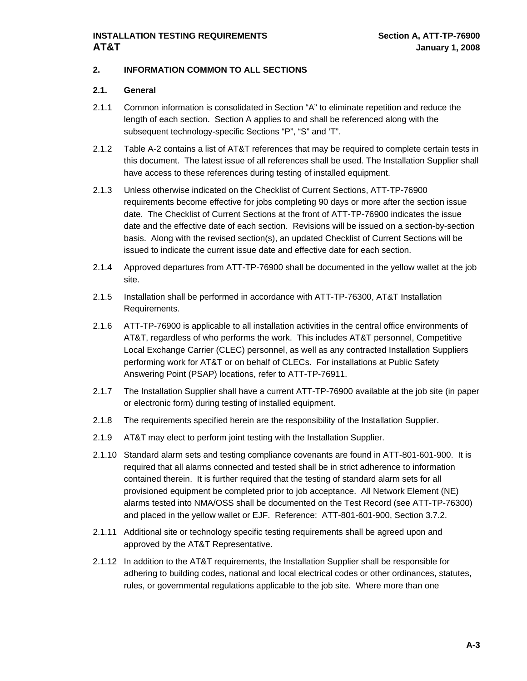#### <span id="page-7-0"></span>**2. INFORMATION COMMON TO ALL SECTIONS**

#### **2.1. General**

- 2.1.1 Common information is consolidated in Section "A" to eliminate repetition and reduce the length of each section. Section A applies to and shall be referenced along with the subsequent technology-specific Sections "P", "S" and 'T".
- 2.1.2 Table A-2 contains a list of AT&T references that may be required to complete certain tests in this document. The latest issue of all references shall be used. The Installation Supplier shall have access to these references during testing of installed equipment.
- 2.1.3 Unless otherwise indicated on the Checklist of Current Sections, ATT-TP-76900 requirements become effective for jobs completing 90 days or more after the section issue date. The Checklist of Current Sections at the front of ATT-TP-76900 indicates the issue date and the effective date of each section. Revisions will be issued on a section-by-section basis. Along with the revised section(s), an updated Checklist of Current Sections will be issued to indicate the current issue date and effective date for each section.
- 2.1.4 Approved departures from ATT-TP-76900 shall be documented in the yellow wallet at the job site.
- 2.1.5 Installation shall be performed in accordance with ATT-TP-76300, AT&T Installation Requirements.
- 2.1.6 ATT-TP-76900 is applicable to all installation activities in the central office environments of AT&T, regardless of who performs the work. This includes AT&T personnel, Competitive Local Exchange Carrier (CLEC) personnel, as well as any contracted Installation Suppliers performing work for AT&T or on behalf of CLECs. For installations at Public Safety Answering Point (PSAP) locations, refer to ATT-TP-76911.
- 2.1.7 The Installation Supplier shall have a current ATT-TP-76900 available at the job site (in paper or electronic form) during testing of installed equipment.
- 2.1.8 The requirements specified herein are the responsibility of the Installation Supplier.
- 2.1.9 AT&T may elect to perform joint testing with the Installation Supplier.
- 2.1.10 Standard alarm sets and testing compliance covenants are found in ATT-801-601-900. It is required that all alarms connected and tested shall be in strict adherence to information contained therein. It is further required that the testing of standard alarm sets for all provisioned equipment be completed prior to job acceptance. All Network Element (NE) alarms tested into NMA/OSS shall be documented on the Test Record (see ATT-TP-76300) and placed in the yellow wallet or EJF. Reference: ATT-801-601-900, Section 3.7.2.
- 2.1.11 Additional site or technology specific testing requirements shall be agreed upon and approved by the AT&T Representative.
- 2.1.12 In addition to the AT&T requirements, the Installation Supplier shall be responsible for adhering to building codes, national and local electrical codes or other ordinances, statutes, rules, or governmental regulations applicable to the job site. Where more than one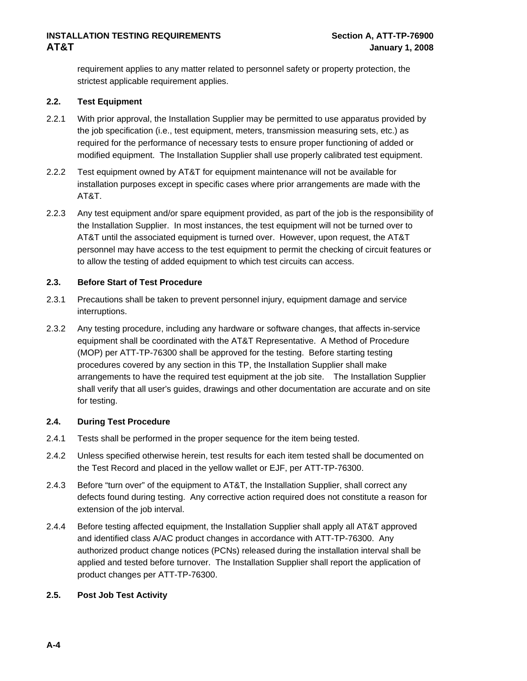<span id="page-8-0"></span>requirement applies to any matter related to personnel safety or property protection, the strictest applicable requirement applies.

#### **2.2. Test Equipment**

- 2.2.1 With prior approval, the Installation Supplier may be permitted to use apparatus provided by the job specification (i.e., test equipment, meters, transmission measuring sets, etc.) as required for the performance of necessary tests to ensure proper functioning of added or modified equipment. The Installation Supplier shall use properly calibrated test equipment.
- 2.2.2 Test equipment owned by AT&T for equipment maintenance will not be available for installation purposes except in specific cases where prior arrangements are made with the AT&T.
- 2.2.3 Any test equipment and/or spare equipment provided, as part of the job is the responsibility of the Installation Supplier. In most instances, the test equipment will not be turned over to AT&T until the associated equipment is turned over. However, upon request, the AT&T personnel may have access to the test equipment to permit the checking of circuit features or to allow the testing of added equipment to which test circuits can access.

#### **2.3. Before Start of Test Procedure**

- 2.3.1 Precautions shall be taken to prevent personnel injury, equipment damage and service interruptions.
- 2.3.2 Any testing procedure, including any hardware or software changes, that affects in-service equipment shall be coordinated with the AT&T Representative. A Method of Procedure (MOP) per ATT-TP-76300 shall be approved for the testing. Before starting testing procedures covered by any section in this TP, the Installation Supplier shall make arrangements to have the required test equipment at the job site. The Installation Supplier shall verify that all user's guides, drawings and other documentation are accurate and on site for testing.

#### **2.4. During Test Procedure**

- 2.4.1 Tests shall be performed in the proper sequence for the item being tested.
- 2.4.2 Unless specified otherwise herein, test results for each item tested shall be documented on the Test Record and placed in the yellow wallet or EJF, per ATT-TP-76300.
- 2.4.3 Before "turn over" of the equipment to AT&T, the Installation Supplier, shall correct any defects found during testing. Any corrective action required does not constitute a reason for extension of the job interval.
- 2.4.4 Before testing affected equipment, the Installation Supplier shall apply all AT&T approved and identified class A/AC product changes in accordance with ATT-TP-76300. Any authorized product change notices (PCNs) released during the installation interval shall be applied and tested before turnover. The Installation Supplier shall report the application of product changes per ATT-TP-76300.

#### **2.5. Post Job Test Activity**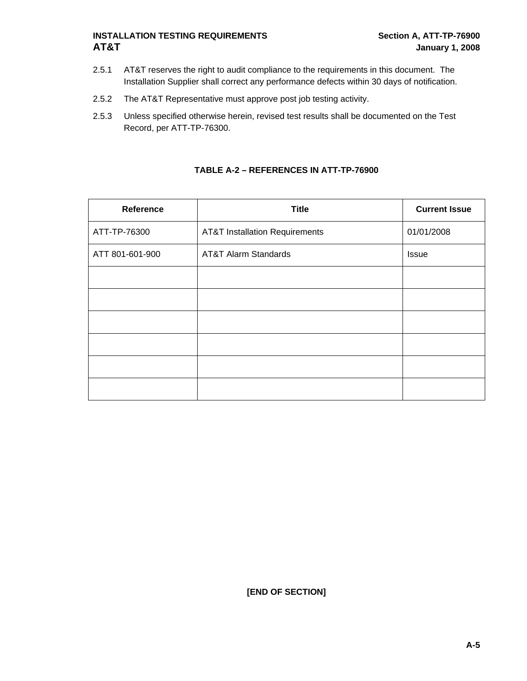- 2.5.1 AT&T reserves the right to audit compliance to the requirements in this document. The Installation Supplier shall correct any performance defects within 30 days of notification.
- 2.5.2 The AT&T Representative must approve post job testing activity.
- 2.5.3 Unless specified otherwise herein, revised test results shall be documented on the Test Record, per ATT-TP-76300.

| Reference       | <b>Title</b>                              | <b>Current Issue</b> |
|-----------------|-------------------------------------------|----------------------|
| ATT-TP-76300    | <b>AT&amp;T Installation Requirements</b> | 01/01/2008           |
| ATT 801-601-900 | <b>AT&amp;T Alarm Standards</b>           | <b>Issue</b>         |
|                 |                                           |                      |
|                 |                                           |                      |
|                 |                                           |                      |
|                 |                                           |                      |
|                 |                                           |                      |
|                 |                                           |                      |

#### **TABLE A-2 – REFERENCES IN ATT-TP-76900**

**[END OF SECTION]**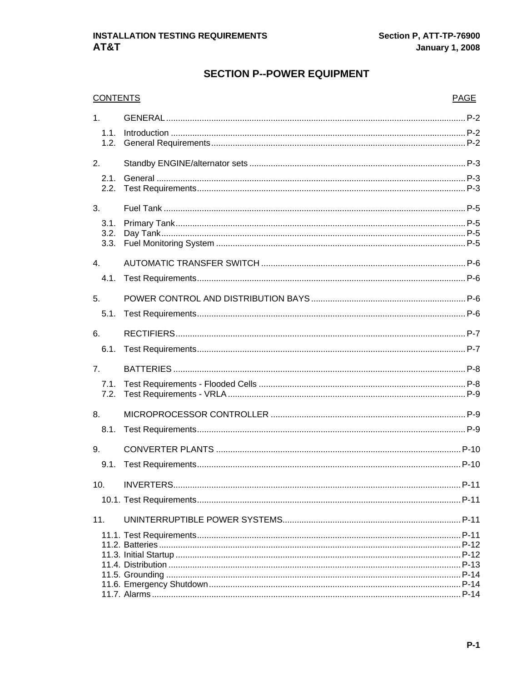# **SECTION P--POWER EQUIPMENT**

| <b>CONTENTS</b>      |  | <b>PAGE</b> |
|----------------------|--|-------------|
| 1 <sub>1</sub>       |  |             |
| 1.1.<br>1.2.         |  |             |
| 2.                   |  |             |
| 2.1.<br>2.2.         |  |             |
| 3.                   |  |             |
| 3.1.<br>3.2.<br>3.3. |  |             |
| 4.                   |  |             |
| 4.1.                 |  |             |
| 5.                   |  |             |
| 5.1.                 |  |             |
| 6.                   |  |             |
| 6.1.                 |  |             |
| 7.                   |  |             |
| 7.1.                 |  |             |
| 7.2.                 |  |             |
| 8.                   |  |             |
| 8.1.                 |  |             |
| 9.                   |  |             |
| 9.1.                 |  |             |
| 10.                  |  |             |
|                      |  |             |
| 11.                  |  |             |
|                      |  |             |
|                      |  |             |
|                      |  |             |
|                      |  |             |
|                      |  |             |
|                      |  |             |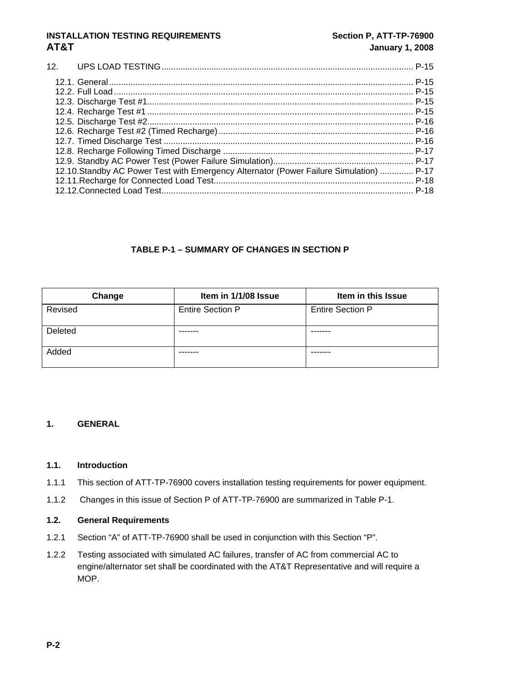#### <span id="page-11-0"></span>[12. UPS LOAD TESTING.......................................................................................................... P-15](#page-24-0)  [12.1. General................................................................................................................................ P-15](#page-24-0)  [12.2. Full Load.............................................................................................................................. P-15](#page-24-0)  [12.3. Discharge Test #1................................................................................................................ P-15](#page-24-0)  [12.4. Recharge Test #1 ................................................................................................................ P-15](#page-24-0)  [12.5. Discharge Test #2................................................................................................................ P-16](#page-25-0)  [12.6. Recharge Test #2 \(Timed Recharge\).................................................................................. P-16](#page-25-0)  [12.7. Timed Discharge Test ......................................................................................................... P-16](#page-25-0)  [12.8. Recharge Following Timed Discharge ................................................................................](#page-26-0) P-17 [12.9. Standby AC Power Test \(Power Failure Simulation\)........................................................... P-17](#page-26-0)  [12.10.Standby AC Power Test with Emergency Alternator \(Power Failure Simulation\) .............. P-17](#page-26-0)  [12.11.Recharge for Connected Load Test.................................................................................... P-18](#page-27-0)  [12.12.Connected Load Test.......................................................................................................... P-18](#page-27-0)

#### **TABLE P-1 – SUMMARY OF CHANGES IN SECTION P**

| Change         | Item in 1/1/08 Issue    | Item in this Issue      |
|----------------|-------------------------|-------------------------|
| Revised        | <b>Entire Section P</b> | <b>Entire Section P</b> |
| <b>Deleted</b> |                         |                         |
| Added          | -------                 |                         |

#### **1. GENERAL**

#### **1.1. Introduction**

- 1.1.1 This section of ATT-TP-76900 covers installation testing requirements for power equipment.
- 1.1.2 Changes in this issue of Section P of ATT-TP-76900 are summarized in Table P-1.

#### **1.2. General Requirements**

- 1.2.1 Section "A" of ATT-TP-76900 shall be used in conjunction with this Section "P".
- 1.2.2 Testing associated with simulated AC failures, transfer of AC from commercial AC to engine/alternator set shall be coordinated with the AT&T Representative and will require a MOP.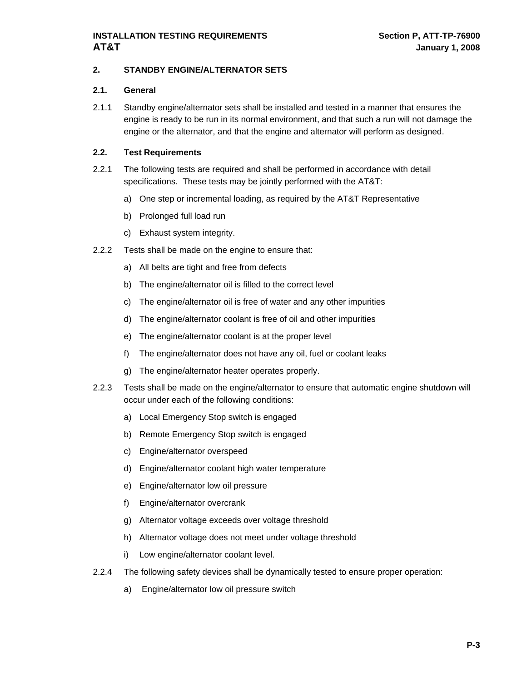#### <span id="page-12-0"></span>**2. STANDBY ENGINE/ALTERNATOR SETS**

#### **2.1. General**

2.1.1 Standby engine/alternator sets shall be installed and tested in a manner that ensures the engine is ready to be run in its normal environment, and that such a run will not damage the engine or the alternator, and that the engine and alternator will perform as designed.

- 2.2.1 The following tests are required and shall be performed in accordance with detail specifications. These tests may be jointly performed with the AT&T:
	- a) One step or incremental loading, as required by the AT&T Representative
	- b) Prolonged full load run
	- c) Exhaust system integrity.
- 2.2.2 Tests shall be made on the engine to ensure that:
	- a) All belts are tight and free from defects
	- b) The engine/alternator oil is filled to the correct level
	- c) The engine/alternator oil is free of water and any other impurities
	- d) The engine/alternator coolant is free of oil and other impurities
	- e) The engine/alternator coolant is at the proper level
	- f) The engine/alternator does not have any oil, fuel or coolant leaks
	- g) The engine/alternator heater operates properly.
- 2.2.3 Tests shall be made on the engine/alternator to ensure that automatic engine shutdown will occur under each of the following conditions:
	- a) Local Emergency Stop switch is engaged
	- b) Remote Emergency Stop switch is engaged
	- c) Engine/alternator overspeed
	- d) Engine/alternator coolant high water temperature
	- e) Engine/alternator low oil pressure
	- f) Engine/alternator overcrank
	- g) Alternator voltage exceeds over voltage threshold
	- h) Alternator voltage does not meet under voltage threshold
	- i) Low engine/alternator coolant level.
- 2.2.4 The following safety devices shall be dynamically tested to ensure proper operation:
	- a) Engine/alternator low oil pressure switch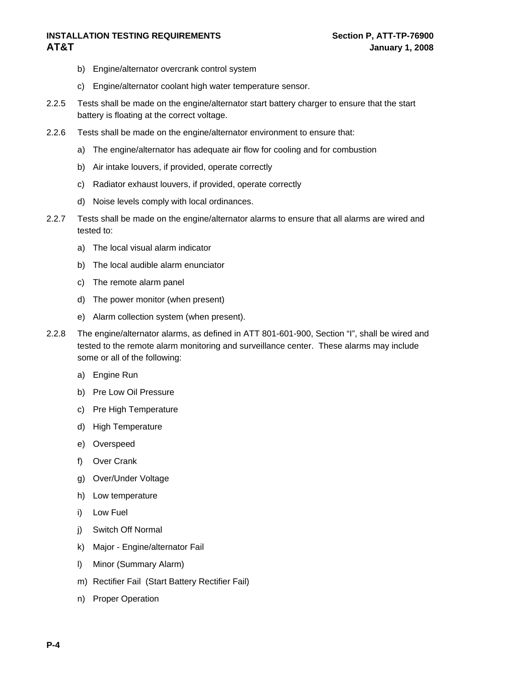- b) Engine/alternator overcrank control system
- c) Engine/alternator coolant high water temperature sensor.
- 2.2.5 Tests shall be made on the engine/alternator start battery charger to ensure that the start battery is floating at the correct voltage.
- 2.2.6 Tests shall be made on the engine/alternator environment to ensure that:
	- a) The engine/alternator has adequate air flow for cooling and for combustion
	- b) Air intake louvers, if provided, operate correctly
	- c) Radiator exhaust louvers, if provided, operate correctly
	- d) Noise levels comply with local ordinances.
- 2.2.7 Tests shall be made on the engine/alternator alarms to ensure that all alarms are wired and tested to:
	- a) The local visual alarm indicator
	- b) The local audible alarm enunciator
	- c) The remote alarm panel
	- d) The power monitor (when present)
	- e) Alarm collection system (when present).
- 2.2.8 The engine/alternator alarms, as defined in ATT 801-601-900, Section "I", shall be wired and tested to the remote alarm monitoring and surveillance center. These alarms may include some or all of the following:
	- a) Engine Run
	- b) Pre Low Oil Pressure
	- c) Pre High Temperature
	- d) High Temperature
	- e) Overspeed
	- f) Over Crank
	- g) Over/Under Voltage
	- h) Low temperature
	- i) Low Fuel
	- j) Switch Off Normal
	- k) Major Engine/alternator Fail
	- l) Minor (Summary Alarm)
	- m) Rectifier Fail (Start Battery Rectifier Fail)
	- n) Proper Operation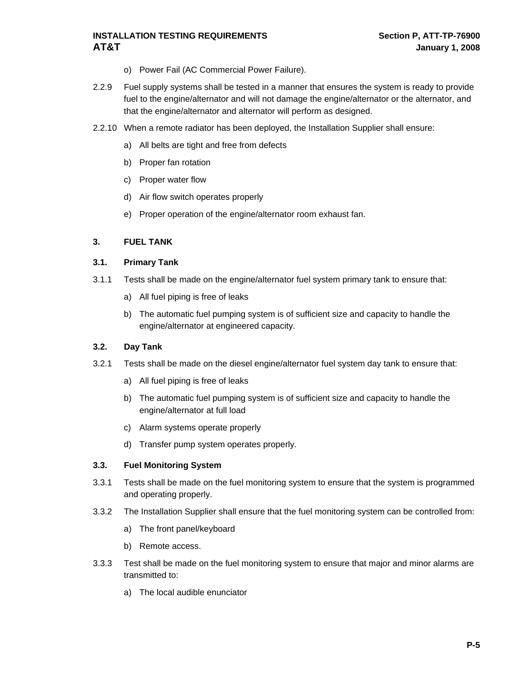- o) Power Fail (AC Commercial Power Failure).
- <span id="page-14-0"></span>2.2.9 Fuel supply systems shall be tested in a manner that ensures the system is ready to provide fuel to the engine/alternator and will not damage the engine/alternator or the alternator, and that the engine/alternator and alternator will perform as designed.
- 2.2.10 When a remote radiator has been deployed, the Installation Supplier shall ensure:
	- a) All belts are tight and free from defects
	- b) Proper fan rotation
	- c) Proper water flow
	- d) Air flow switch operates properly
	- e) Proper operation of the engine/alternator room exhaust fan.

#### **3. FUEL TANK**

#### **3.1. Primary Tank**

- 3.1.1 Tests shall be made on the engine/alternator fuel system primary tank to ensure that:
	- a) All fuel piping is free of leaks
	- b) The automatic fuel pumping system is of sufficient size and capacity to handle the engine/alternator at engineered capacity.

#### **3.2. Day Tank**

- 3.2.1 Tests shall be made on the diesel engine/alternator fuel system day tank to ensure that:
	- a) All fuel piping is free of leaks
	- b) The automatic fuel pumping system is of sufficient size and capacity to handle the engine/alternator at full load
	- c) Alarm systems operate properly
	- d) Transfer pump system operates properly.

#### **3.3. Fuel Monitoring System**

- 3.3.1 Tests shall be made on the fuel monitoring system to ensure that the system is programmed and operating properly.
- 3.3.2 The Installation Supplier shall ensure that the fuel monitoring system can be controlled from:
	- a) The front panel/keyboard
	- b) Remote access.
- 3.3.3 Test shall be made on the fuel monitoring system to ensure that major and minor alarms are transmitted to:
	- a) The local audible enunciator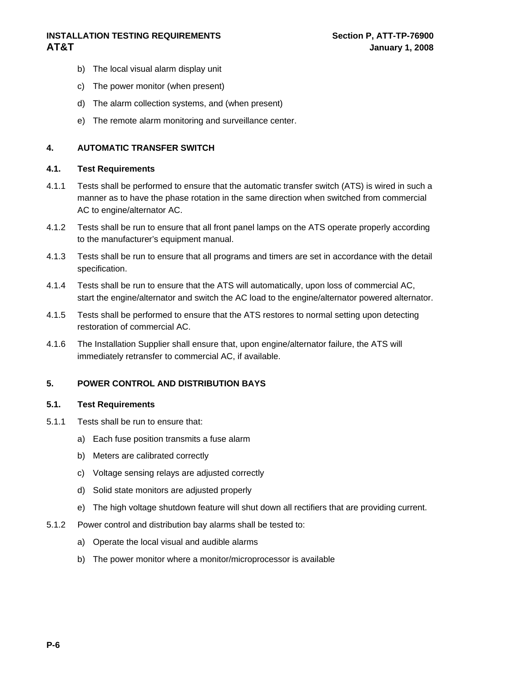- <span id="page-15-0"></span>b) The local visual alarm display unit
- c) The power monitor (when present)
- d) The alarm collection systems, and (when present)
- e) The remote alarm monitoring and surveillance center.

#### **4. AUTOMATIC TRANSFER SWITCH**

#### **4.1. Test Requirements**

- 4.1.1 Tests shall be performed to ensure that the automatic transfer switch (ATS) is wired in such a manner as to have the phase rotation in the same direction when switched from commercial AC to engine/alternator AC.
- 4.1.2 Tests shall be run to ensure that all front panel lamps on the ATS operate properly according to the manufacturer's equipment manual.
- 4.1.3 Tests shall be run to ensure that all programs and timers are set in accordance with the detail specification.
- 4.1.4 Tests shall be run to ensure that the ATS will automatically, upon loss of commercial AC, start the engine/alternator and switch the AC load to the engine/alternator powered alternator.
- 4.1.5 Tests shall be performed to ensure that the ATS restores to normal setting upon detecting restoration of commercial AC.
- 4.1.6 The Installation Supplier shall ensure that, upon engine/alternator failure, the ATS will immediately retransfer to commercial AC, if available.

#### **5. POWER CONTROL AND DISTRIBUTION BAYS**

- 5.1.1 Tests shall be run to ensure that:
	- a) Each fuse position transmits a fuse alarm
	- b) Meters are calibrated correctly
	- c) Voltage sensing relays are adjusted correctly
	- d) Solid state monitors are adjusted properly
	- e) The high voltage shutdown feature will shut down all rectifiers that are providing current.
- 5.1.2 Power control and distribution bay alarms shall be tested to:
	- a) Operate the local visual and audible alarms
	- b) The power monitor where a monitor/microprocessor is available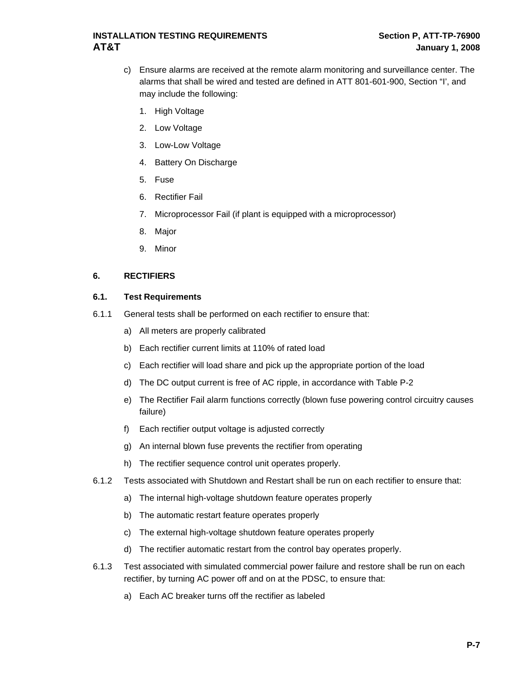- <span id="page-16-0"></span>c) Ensure alarms are received at the remote alarm monitoring and surveillance center. The alarms that shall be wired and tested are defined in ATT 801-601-900, Section "I', and may include the following:
	- 1. High Voltage
	- 2. Low Voltage
	- 3. Low-Low Voltage
	- 4. Battery On Discharge
	- 5. Fuse
	- 6. Rectifier Fail
	- 7. Microprocessor Fail (if plant is equipped with a microprocessor)
	- 8. Major
	- 9. Minor

#### **6. RECTIFIERS**

- 6.1.1 General tests shall be performed on each rectifier to ensure that:
	- a) All meters are properly calibrated
	- b) Each rectifier current limits at 110% of rated load
	- c) Each rectifier will load share and pick up the appropriate portion of the load
	- d) The DC output current is free of AC ripple, in accordance with Table P-2
	- e) The Rectifier Fail alarm functions correctly (blown fuse powering control circuitry causes failure)
	- f) Each rectifier output voltage is adjusted correctly
	- g) An internal blown fuse prevents the rectifier from operating
	- h) The rectifier sequence control unit operates properly.
- 6.1.2 Tests associated with Shutdown and Restart shall be run on each rectifier to ensure that:
	- a) The internal high-voltage shutdown feature operates properly
	- b) The automatic restart feature operates properly
	- c) The external high-voltage shutdown feature operates properly
	- d) The rectifier automatic restart from the control bay operates properly.
- 6.1.3 Test associated with simulated commercial power failure and restore shall be run on each rectifier, by turning AC power off and on at the PDSC, to ensure that:
	- a) Each AC breaker turns off the rectifier as labeled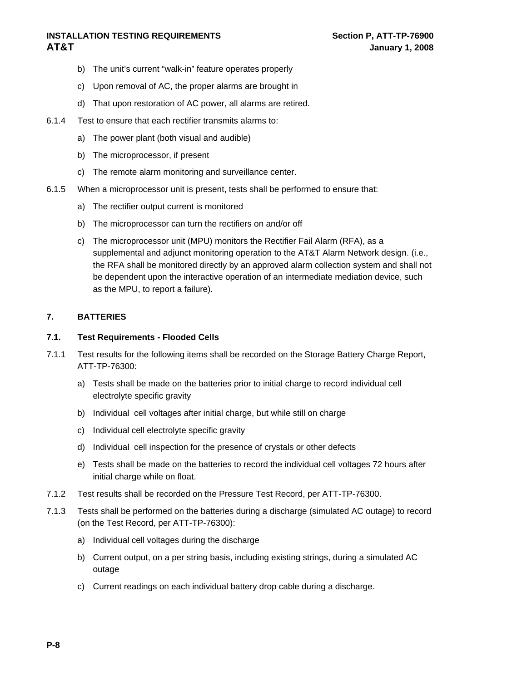- <span id="page-17-0"></span>b) The unit's current "walk-in" feature operates properly
- c) Upon removal of AC, the proper alarms are brought in
- d) That upon restoration of AC power, all alarms are retired.
- 6.1.4 Test to ensure that each rectifier transmits alarms to:
	- a) The power plant (both visual and audible)
	- b) The microprocessor, if present
	- c) The remote alarm monitoring and surveillance center.
- 6.1.5 When a microprocessor unit is present, tests shall be performed to ensure that:
	- a) The rectifier output current is monitored
	- b) The microprocessor can turn the rectifiers on and/or off
	- c) The microprocessor unit (MPU) monitors the Rectifier Fail Alarm (RFA), as a supplemental and adjunct monitoring operation to the AT&T Alarm Network design. (i.e., the RFA shall be monitored directly by an approved alarm collection system and shall not be dependent upon the interactive operation of an intermediate mediation device, such as the MPU, to report a failure).

#### **7. BATTERIES**

#### **7.1. Test Requirements - Flooded Cells**

- 7.1.1 Test results for the following items shall be recorded on the Storage Battery Charge Report, ATT-TP-76300:
	- a) Tests shall be made on the batteries prior to initial charge to record individual cell electrolyte specific gravity
	- b) Individual cell voltages after initial charge, but while still on charge
	- c) Individual cell electrolyte specific gravity
	- d) Individual cell inspection for the presence of crystals or other defects
	- e) Tests shall be made on the batteries to record the individual cell voltages 72 hours after initial charge while on float.
- 7.1.2 Test results shall be recorded on the Pressure Test Record, per ATT-TP-76300.
- 7.1.3 Tests shall be performed on the batteries during a discharge (simulated AC outage) to record (on the Test Record, per ATT-TP-76300):
	- a) Individual cell voltages during the discharge
	- b) Current output, on a per string basis, including existing strings, during a simulated AC outage
	- c) Current readings on each individual battery drop cable during a discharge.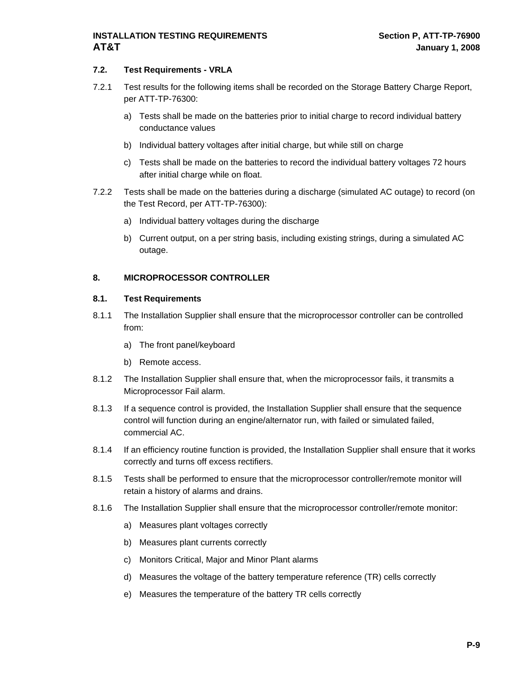#### <span id="page-18-0"></span>**7.2. Test Requirements - VRLA**

- 7.2.1 Test results for the following items shall be recorded on the Storage Battery Charge Report, per ATT-TP-76300:
	- a) Tests shall be made on the batteries prior to initial charge to record individual battery conductance values
	- b) Individual battery voltages after initial charge, but while still on charge
	- c) Tests shall be made on the batteries to record the individual battery voltages 72 hours after initial charge while on float.
- 7.2.2 Tests shall be made on the batteries during a discharge (simulated AC outage) to record (on the Test Record, per ATT-TP-76300):
	- a) Individual battery voltages during the discharge
	- b) Current output, on a per string basis, including existing strings, during a simulated AC outage.

#### **8. MICROPROCESSOR CONTROLLER**

- 8.1.1 The Installation Supplier shall ensure that the microprocessor controller can be controlled from:
	- a) The front panel/keyboard
	- b) Remote access.
- 8.1.2 The Installation Supplier shall ensure that, when the microprocessor fails, it transmits a Microprocessor Fail alarm.
- 8.1.3 If a sequence control is provided, the Installation Supplier shall ensure that the sequence control will function during an engine/alternator run, with failed or simulated failed, commercial AC.
- 8.1.4 If an efficiency routine function is provided, the Installation Supplier shall ensure that it works correctly and turns off excess rectifiers.
- 8.1.5 Tests shall be performed to ensure that the microprocessor controller/remote monitor will retain a history of alarms and drains.
- 8.1.6 The Installation Supplier shall ensure that the microprocessor controller/remote monitor:
	- a) Measures plant voltages correctly
	- b) Measures plant currents correctly
	- c) Monitors Critical, Major and Minor Plant alarms
	- d) Measures the voltage of the battery temperature reference (TR) cells correctly
	- e) Measures the temperature of the battery TR cells correctly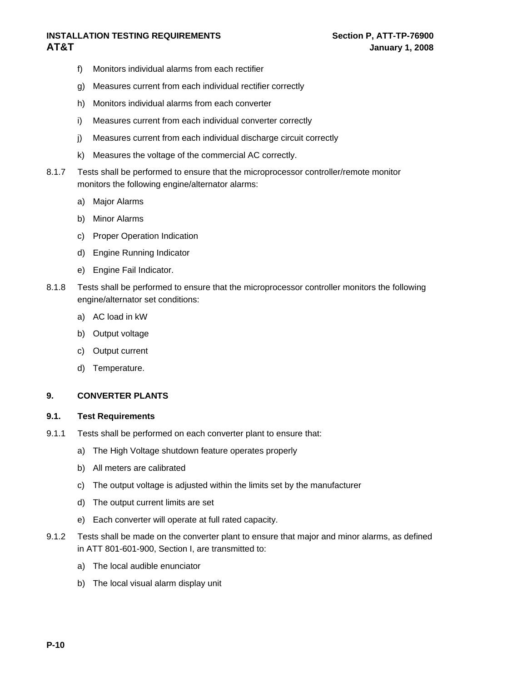- <span id="page-19-0"></span>f) Monitors individual alarms from each rectifier
- g) Measures current from each individual rectifier correctly
- h) Monitors individual alarms from each converter
- i) Measures current from each individual converter correctly
- j) Measures current from each individual discharge circuit correctly
- k) Measures the voltage of the commercial AC correctly.
- 8.1.7 Tests shall be performed to ensure that the microprocessor controller/remote monitor monitors the following engine/alternator alarms:
	- a) Major Alarms
	- b) Minor Alarms
	- c) Proper Operation Indication
	- d) Engine Running Indicator
	- e) Engine Fail Indicator.
- 8.1.8 Tests shall be performed to ensure that the microprocessor controller monitors the following engine/alternator set conditions:
	- a) AC load in kW
	- b) Output voltage
	- c) Output current
	- d) Temperature.

#### **9. CONVERTER PLANTS**

- 9.1.1 Tests shall be performed on each converter plant to ensure that:
	- a) The High Voltage shutdown feature operates properly
	- b) All meters are calibrated
	- c) The output voltage is adjusted within the limits set by the manufacturer
	- d) The output current limits are set
	- e) Each converter will operate at full rated capacity.
- 9.1.2 Tests shall be made on the converter plant to ensure that major and minor alarms, as defined in ATT 801-601-900, Section I, are transmitted to:
	- a) The local audible enunciator
	- b) The local visual alarm display unit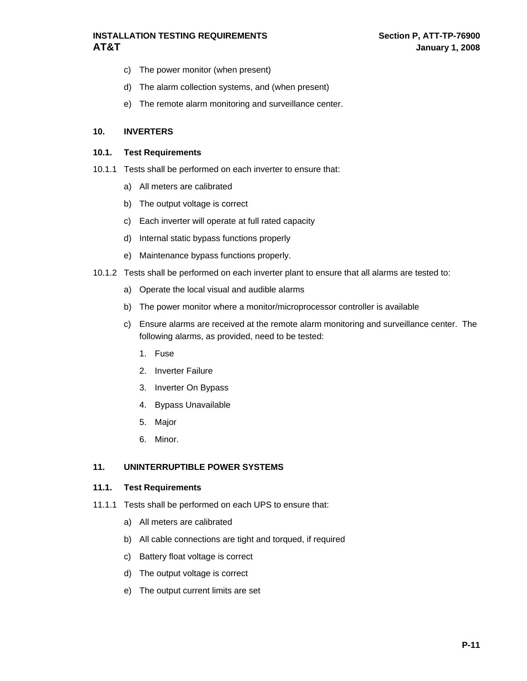- <span id="page-20-0"></span>c) The power monitor (when present)
- d) The alarm collection systems, and (when present)
- e) The remote alarm monitoring and surveillance center.

#### **10. INVERTERS**

#### **10.1. Test Requirements**

- 10.1.1 Tests shall be performed on each inverter to ensure that:
	- a) All meters are calibrated
	- b) The output voltage is correct
	- c) Each inverter will operate at full rated capacity
	- d) Internal static bypass functions properly
	- e) Maintenance bypass functions properly.
- 10.1.2 Tests shall be performed on each inverter plant to ensure that all alarms are tested to:
	- a) Operate the local visual and audible alarms
	- b) The power monitor where a monitor/microprocessor controller is available
	- c) Ensure alarms are received at the remote alarm monitoring and surveillance center. The following alarms, as provided, need to be tested:
		- 1. Fuse
		- 2. Inverter Failure
		- 3. Inverter On Bypass
		- 4. Bypass Unavailable
		- 5. Major
		- 6. Minor.

#### **11. UNINTERRUPTIBLE POWER SYSTEMS**

- 11.1.1 Tests shall be performed on each UPS to ensure that:
	- a) All meters are calibrated
	- b) All cable connections are tight and torqued, if required
	- c) Battery float voltage is correct
	- d) The output voltage is correct
	- e) The output current limits are set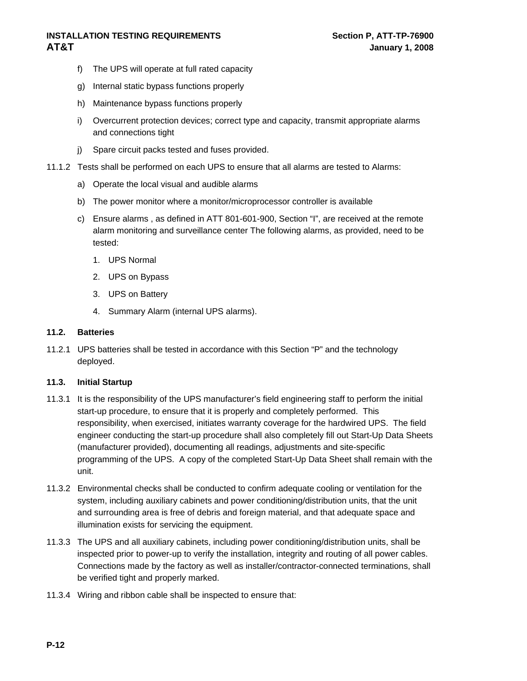- <span id="page-21-0"></span>f) The UPS will operate at full rated capacity
- g) Internal static bypass functions properly
- h) Maintenance bypass functions properly
- i) Overcurrent protection devices; correct type and capacity, transmit appropriate alarms and connections tight
- j) Spare circuit packs tested and fuses provided.
- 11.1.2 Tests shall be performed on each UPS to ensure that all alarms are tested to Alarms:
	- a) Operate the local visual and audible alarms
	- b) The power monitor where a monitor/microprocessor controller is available
	- c) Ensure alarms , as defined in ATT 801-601-900, Section "I", are received at the remote alarm monitoring and surveillance center The following alarms, as provided, need to be tested:
		- 1. UPS Normal
		- 2. UPS on Bypass
		- 3. UPS on Battery
		- 4. Summary Alarm (internal UPS alarms).

#### **11.2. Batteries**

11.2.1 UPS batteries shall be tested in accordance with this Section "P" and the technology deployed.

#### **11.3. Initial Startup**

- 11.3.1 It is the responsibility of the UPS manufacturer's field engineering staff to perform the initial start-up procedure, to ensure that it is properly and completely performed. This responsibility, when exercised, initiates warranty coverage for the hardwired UPS. The field engineer conducting the start-up procedure shall also completely fill out Start-Up Data Sheets (manufacturer provided), documenting all readings, adjustments and site-specific programming of the UPS. A copy of the completed Start-Up Data Sheet shall remain with the unit.
- 11.3.2 Environmental checks shall be conducted to confirm adequate cooling or ventilation for the system, including auxiliary cabinets and power conditioning/distribution units, that the unit and surrounding area is free of debris and foreign material, and that adequate space and illumination exists for servicing the equipment.
- 11.3.3 The UPS and all auxiliary cabinets, including power conditioning/distribution units, shall be inspected prior to power-up to verify the installation, integrity and routing of all power cables. Connections made by the factory as well as installer/contractor-connected terminations, shall be verified tight and properly marked.
- 11.3.4 Wiring and ribbon cable shall be inspected to ensure that: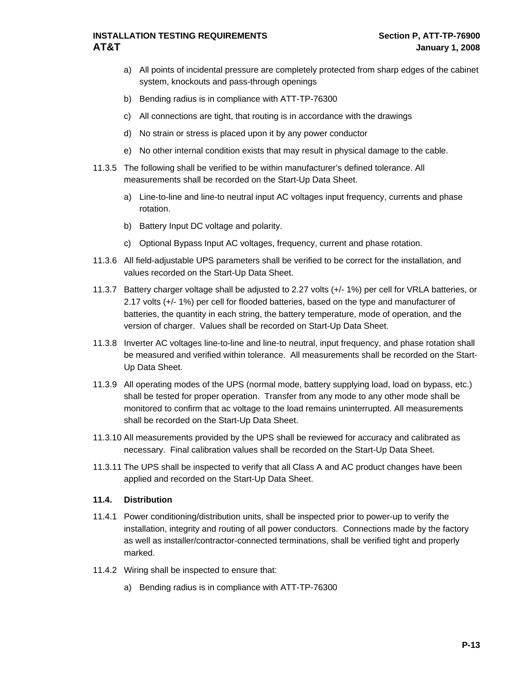- <span id="page-22-0"></span>a) All points of incidental pressure are completely protected from sharp edges of the cabinet system, knockouts and pass-through openings
- b) Bending radius is in compliance with ATT-TP-76300
- c) All connections are tight, that routing is in accordance with the drawings
- d) No strain or stress is placed upon it by any power conductor
- e) No other internal condition exists that may result in physical damage to the cable.
- 11.3.5 The following shall be verified to be within manufacturer's defined tolerance. All measurements shall be recorded on the Start-Up Data Sheet.
	- a) Line-to-line and line-to neutral input AC voltages input frequency, currents and phase rotation.
	- b) Battery Input DC voltage and polarity.
	- c) Optional Bypass Input AC voltages, frequency, current and phase rotation.
- 11.3.6 All field-adjustable UPS parameters shall be verified to be correct for the installation, and values recorded on the Start-Up Data Sheet.
- 11.3.7 Battery charger voltage shall be adjusted to 2.27 volts (+/- 1%) per cell for VRLA batteries, or 2.17 volts (+/- 1%) per cell for flooded batteries, based on the type and manufacturer of batteries, the quantity in each string, the battery temperature, mode of operation, and the version of charger. Values shall be recorded on Start-Up Data Sheet.
- 11.3.8 Inverter AC voltages line-to-line and line-to neutral, input frequency, and phase rotation shall be measured and verified within tolerance. All measurements shall be recorded on the Start-Up Data Sheet.
- 11.3.9 All operating modes of the UPS (normal mode, battery supplying load, load on bypass, etc.) shall be tested for proper operation. Transfer from any mode to any other mode shall be monitored to confirm that ac voltage to the load remains uninterrupted. All measurements shall be recorded on the Start-Up Data Sheet.
- 11.3.10 All measurements provided by the UPS shall be reviewed for accuracy and calibrated as necessary. Final calibration values shall be recorded on the Start-Up Data Sheet.
- 11.3.11 The UPS shall be inspected to verify that all Class A and AC product changes have been applied and recorded on the Start-Up Data Sheet.

#### **11.4. Distribution**

- 11.4.1 Power conditioning/distribution units, shall be inspected prior to power-up to verify the installation, integrity and routing of all power conductors. Connections made by the factory as well as installer/contractor-connected terminations, shall be verified tight and properly marked.
- 11.4.2 Wiring shall be inspected to ensure that:
	- a) Bending radius is in compliance with ATT-TP-76300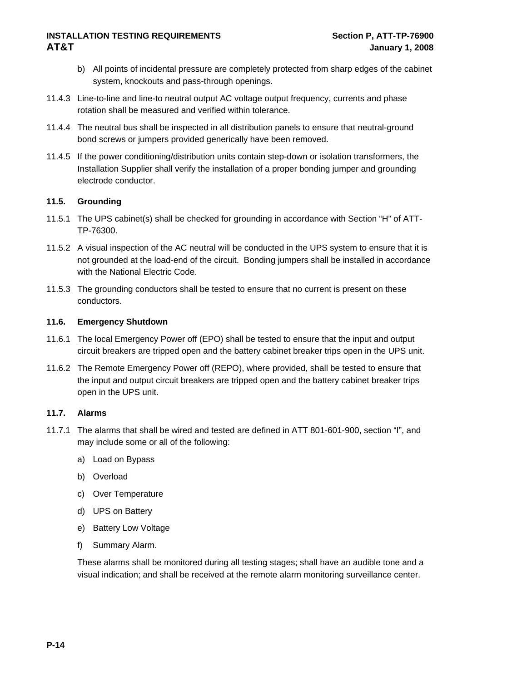- <span id="page-23-0"></span>b) All points of incidental pressure are completely protected from sharp edges of the cabinet system, knockouts and pass-through openings.
- 11.4.3 Line-to-line and line-to neutral output AC voltage output frequency, currents and phase rotation shall be measured and verified within tolerance.
- 11.4.4 The neutral bus shall be inspected in all distribution panels to ensure that neutral-ground bond screws or jumpers provided generically have been removed.
- 11.4.5 If the power conditioning/distribution units contain step-down or isolation transformers, the Installation Supplier shall verify the installation of a proper bonding jumper and grounding electrode conductor.

#### **11.5. Grounding**

- 11.5.1 The UPS cabinet(s) shall be checked for grounding in accordance with Section "H" of ATT-TP-76300.
- 11.5.2 A visual inspection of the AC neutral will be conducted in the UPS system to ensure that it is not grounded at the load-end of the circuit. Bonding jumpers shall be installed in accordance with the National Electric Code.
- 11.5.3 The grounding conductors shall be tested to ensure that no current is present on these conductors.

#### **11.6. Emergency Shutdown**

- 11.6.1 The local Emergency Power off (EPO) shall be tested to ensure that the input and output circuit breakers are tripped open and the battery cabinet breaker trips open in the UPS unit.
- 11.6.2 The Remote Emergency Power off (REPO), where provided, shall be tested to ensure that the input and output circuit breakers are tripped open and the battery cabinet breaker trips open in the UPS unit.

#### **11.7. Alarms**

- 11.7.1 The alarms that shall be wired and tested are defined in ATT 801-601-900, section "I", and may include some or all of the following:
	- a) Load on Bypass
	- b) Overload
	- c) Over Temperature
	- d) UPS on Battery
	- e) Battery Low Voltage
	- f) Summary Alarm.

These alarms shall be monitored during all testing stages; shall have an audible tone and a visual indication; and shall be received at the remote alarm monitoring surveillance center.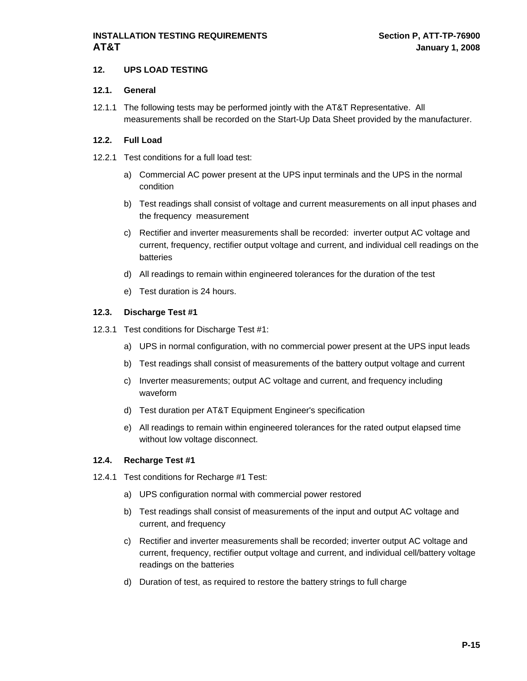#### <span id="page-24-0"></span>**12. UPS LOAD TESTING**

#### **12.1. General**

12.1.1 The following tests may be performed jointly with the AT&T Representative. All measurements shall be recorded on the Start-Up Data Sheet provided by the manufacturer.

#### **12.2. Full Load**

- 12.2.1 Test conditions for a full load test:
	- a) Commercial AC power present at the UPS input terminals and the UPS in the normal condition
	- b) Test readings shall consist of voltage and current measurements on all input phases and the frequency measurement
	- c) Rectifier and inverter measurements shall be recorded: inverter output AC voltage and current, frequency, rectifier output voltage and current, and individual cell readings on the batteries
	- d) All readings to remain within engineered tolerances for the duration of the test
	- e) Test duration is 24 hours.

#### **12.3. Discharge Test #1**

- 12.3.1 Test conditions for Discharge Test #1:
	- a) UPS in normal configuration, with no commercial power present at the UPS input leads
	- b) Test readings shall consist of measurements of the battery output voltage and current
	- c) Inverter measurements; output AC voltage and current, and frequency including waveform
	- d) Test duration per AT&T Equipment Engineer's specification
	- e) All readings to remain within engineered tolerances for the rated output elapsed time without low voltage disconnect.

#### **12.4. Recharge Test #1**

- 12.4.1 Test conditions for Recharge #1 Test:
	- a) UPS configuration normal with commercial power restored
	- b) Test readings shall consist of measurements of the input and output AC voltage and current, and frequency
	- c) Rectifier and inverter measurements shall be recorded; inverter output AC voltage and current, frequency, rectifier output voltage and current, and individual cell/battery voltage readings on the batteries
	- d) Duration of test, as required to restore the battery strings to full charge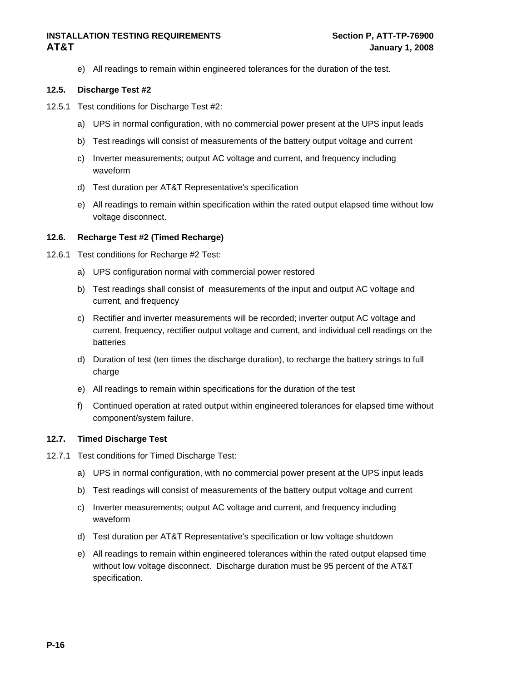e) All readings to remain within engineered tolerances for the duration of the test.

#### <span id="page-25-0"></span>**12.5. Discharge Test #2**

- 12.5.1 Test conditions for Discharge Test #2:
	- a) UPS in normal configuration, with no commercial power present at the UPS input leads
	- b) Test readings will consist of measurements of the battery output voltage and current
	- c) Inverter measurements; output AC voltage and current, and frequency including waveform
	- d) Test duration per AT&T Representative's specification
	- e) All readings to remain within specification within the rated output elapsed time without low voltage disconnect.

#### **12.6. Recharge Test #2 (Timed Recharge)**

- 12.6.1 Test conditions for Recharge #2 Test:
	- a) UPS configuration normal with commercial power restored
	- b) Test readings shall consist of measurements of the input and output AC voltage and current, and frequency
	- c) Rectifier and inverter measurements will be recorded; inverter output AC voltage and current, frequency, rectifier output voltage and current, and individual cell readings on the batteries
	- d) Duration of test (ten times the discharge duration), to recharge the battery strings to full charge
	- e) All readings to remain within specifications for the duration of the test
	- f) Continued operation at rated output within engineered tolerances for elapsed time without component/system failure.

#### **12.7. Timed Discharge Test**

- 12.7.1 Test conditions for Timed Discharge Test:
	- a) UPS in normal configuration, with no commercial power present at the UPS input leads
	- b) Test readings will consist of measurements of the battery output voltage and current
	- c) Inverter measurements; output AC voltage and current, and frequency including waveform
	- d) Test duration per AT&T Representative's specification or low voltage shutdown
	- e) All readings to remain within engineered tolerances within the rated output elapsed time without low voltage disconnect. Discharge duration must be 95 percent of the AT&T specification.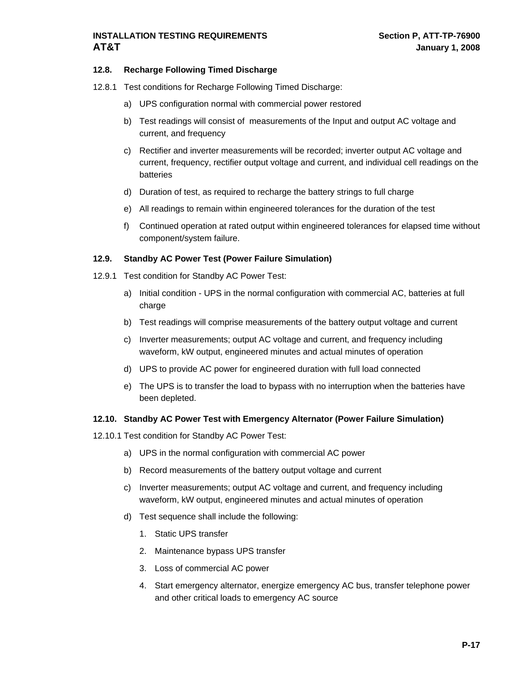#### <span id="page-26-0"></span>**12.8. Recharge Following Timed Discharge**

- 12.8.1 Test conditions for Recharge Following Timed Discharge:
	- a) UPS configuration normal with commercial power restored
	- b) Test readings will consist of measurements of the Input and output AC voltage and current, and frequency
	- c) Rectifier and inverter measurements will be recorded; inverter output AC voltage and current, frequency, rectifier output voltage and current, and individual cell readings on the batteries
	- d) Duration of test, as required to recharge the battery strings to full charge
	- e) All readings to remain within engineered tolerances for the duration of the test
	- f) Continued operation at rated output within engineered tolerances for elapsed time without component/system failure.

#### **12.9. Standby AC Power Test (Power Failure Simulation)**

- 12.9.1 Test condition for Standby AC Power Test:
	- a) Initial condition UPS in the normal configuration with commercial AC, batteries at full charge
	- b) Test readings will comprise measurements of the battery output voltage and current
	- c) Inverter measurements; output AC voltage and current, and frequency including waveform, kW output, engineered minutes and actual minutes of operation
	- d) UPS to provide AC power for engineered duration with full load connected
	- e) The UPS is to transfer the load to bypass with no interruption when the batteries have been depleted.

#### **12.10. Standby AC Power Test with Emergency Alternator (Power Failure Simulation)**

- 12.10.1 Test condition for Standby AC Power Test:
	- a) UPS in the normal configuration with commercial AC power
	- b) Record measurements of the battery output voltage and current
	- c) Inverter measurements; output AC voltage and current, and frequency including waveform, kW output, engineered minutes and actual minutes of operation
	- d) Test sequence shall include the following:
		- 1. Static UPS transfer
		- 2. Maintenance bypass UPS transfer
		- 3. Loss of commercial AC power
		- 4. Start emergency alternator, energize emergency AC bus, transfer telephone power and other critical loads to emergency AC source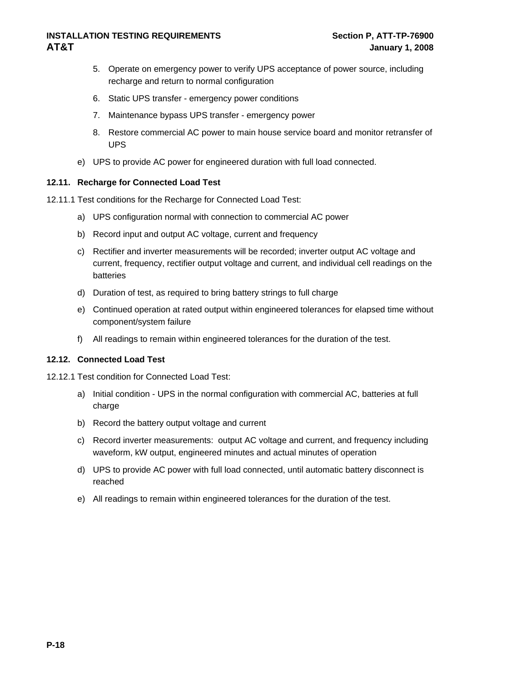- <span id="page-27-0"></span>5. Operate on emergency power to verify UPS acceptance of power source, including recharge and return to normal configuration
- 6. Static UPS transfer emergency power conditions
- 7. Maintenance bypass UPS transfer emergency power
- 8. Restore commercial AC power to main house service board and monitor retransfer of UPS
- e) UPS to provide AC power for engineered duration with full load connected.

#### **12.11. Recharge for Connected Load Test**

12.11.1 Test conditions for the Recharge for Connected Load Test:

- a) UPS configuration normal with connection to commercial AC power
- b) Record input and output AC voltage, current and frequency
- c) Rectifier and inverter measurements will be recorded; inverter output AC voltage and current, frequency, rectifier output voltage and current, and individual cell readings on the batteries
- d) Duration of test, as required to bring battery strings to full charge
- e) Continued operation at rated output within engineered tolerances for elapsed time without component/system failure
- f) All readings to remain within engineered tolerances for the duration of the test.

#### **12.12. Connected Load Test**

12.12.1 Test condition for Connected Load Test:

- a) Initial condition UPS in the normal configuration with commercial AC, batteries at full charge
- b) Record the battery output voltage and current
- c) Record inverter measurements: output AC voltage and current, and frequency including waveform, kW output, engineered minutes and actual minutes of operation
- d) UPS to provide AC power with full load connected, until automatic battery disconnect is reached
- e) All readings to remain within engineered tolerances for the duration of the test.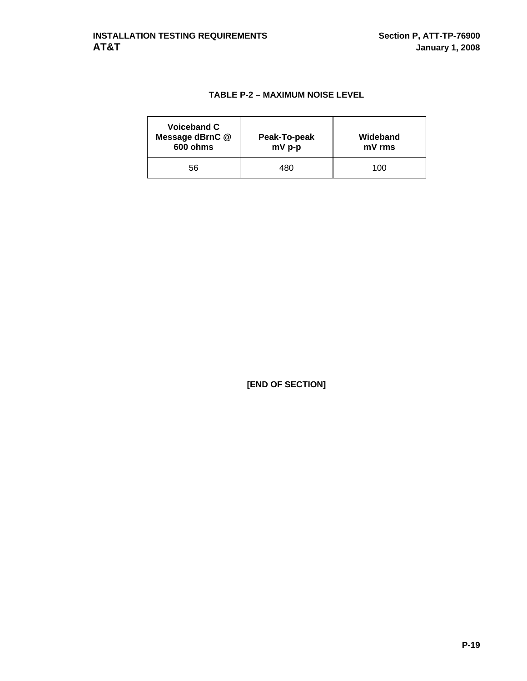### **TABLE P-2 – MAXIMUM NOISE LEVEL**

| Voiceband C<br>Message dBrnC @<br>600 ohms | Peak-To-peak<br>mV p-p | Wideband<br>mV rms |
|--------------------------------------------|------------------------|--------------------|
| 56                                         | 480                    | 100                |

**[END OF SECTION]**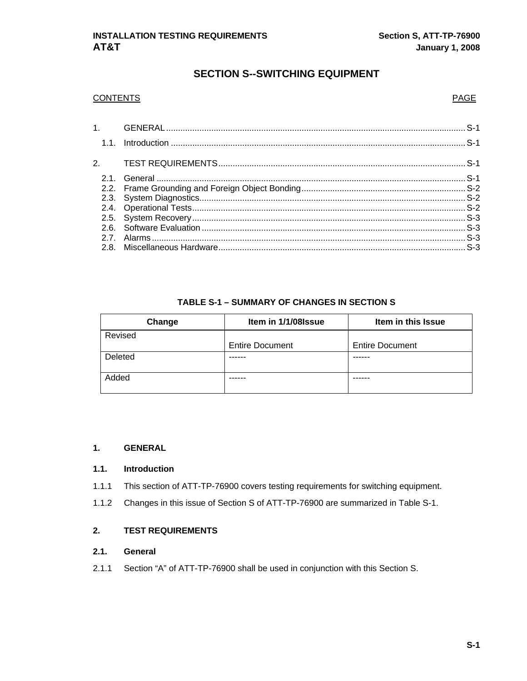## **SECTION S--SWITCHING EQUIPMENT**

#### <span id="page-29-0"></span>CONTENTS PAGE

#### **TABLE S-1 – SUMMARY OF CHANGES IN SECTION S**

| Change  | Item in 1/1/08 ssue    | Item in this Issue     |  |  |
|---------|------------------------|------------------------|--|--|
| Revised |                        |                        |  |  |
|         | <b>Entire Document</b> | <b>Entire Document</b> |  |  |
| Deleted |                        |                        |  |  |
|         |                        |                        |  |  |
| Added   |                        |                        |  |  |
|         |                        |                        |  |  |

#### **1. GENERAL**

#### **1.1. Introduction**

- 1.1.1 This section of ATT-TP-76900 covers testing requirements for switching equipment.
- 1.1.2 Changes in this issue of Section S of ATT-TP-76900 are summarized in Table S-1.

#### **2. TEST REQUIREMENTS**

#### **2.1. General**

2.1.1 Section "A" of ATT-TP-76900 shall be used in conjunction with this Section S.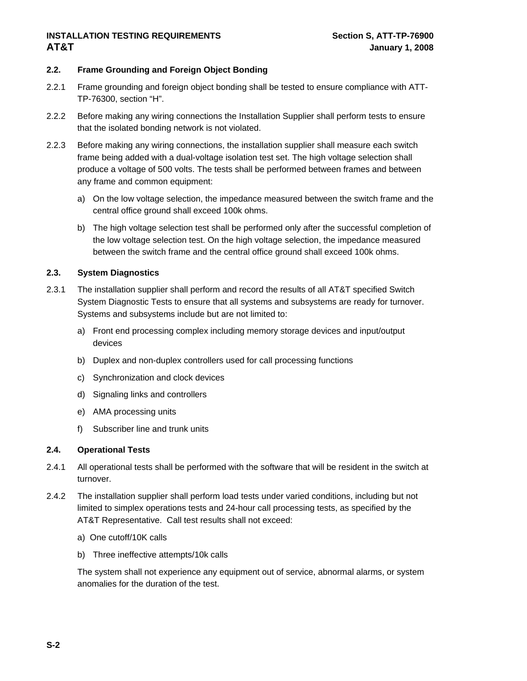#### <span id="page-30-0"></span>**2.2. Frame Grounding and Foreign Object Bonding**

- 2.2.1 Frame grounding and foreign object bonding shall be tested to ensure compliance with ATT-TP-76300, section "H".
- 2.2.2 Before making any wiring connections the Installation Supplier shall perform tests to ensure that the isolated bonding network is not violated.
- 2.2.3 Before making any wiring connections, the installation supplier shall measure each switch frame being added with a dual-voltage isolation test set. The high voltage selection shall produce a voltage of 500 volts. The tests shall be performed between frames and between any frame and common equipment:
	- a) On the low voltage selection, the impedance measured between the switch frame and the central office ground shall exceed 100k ohms.
	- b) The high voltage selection test shall be performed only after the successful completion of the low voltage selection test. On the high voltage selection, the impedance measured between the switch frame and the central office ground shall exceed 100k ohms.

#### **2.3. System Diagnostics**

- 2.3.1 The installation supplier shall perform and record the results of all AT&T specified Switch System Diagnostic Tests to ensure that all systems and subsystems are ready for turnover. Systems and subsystems include but are not limited to:
	- a) Front end processing complex including memory storage devices and input/output devices
	- b) Duplex and non-duplex controllers used for call processing functions
	- c) Synchronization and clock devices
	- d) Signaling links and controllers
	- e) AMA processing units
	- f) Subscriber line and trunk units

#### **2.4. Operational Tests**

- 2.4.1 All operational tests shall be performed with the software that will be resident in the switch at turnover.
- 2.4.2 The installation supplier shall perform load tests under varied conditions, including but not limited to simplex operations tests and 24-hour call processing tests, as specified by the AT&T Representative. Call test results shall not exceed:
	- a) One cutoff/10K calls
	- b) Three ineffective attempts/10k calls

The system shall not experience any equipment out of service, abnormal alarms, or system anomalies for the duration of the test.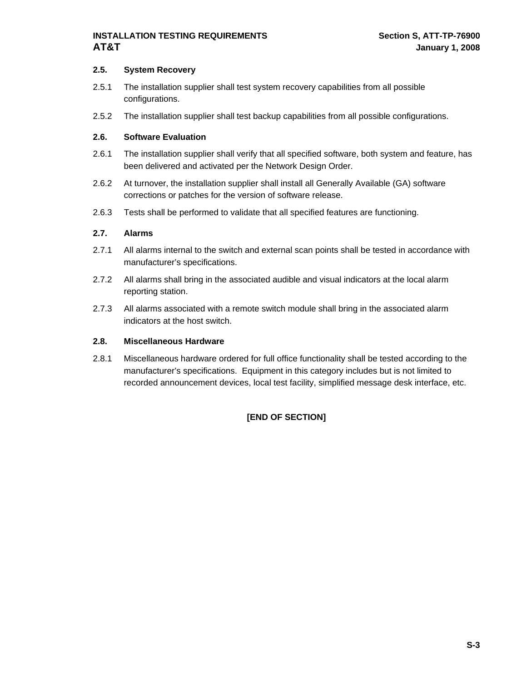#### <span id="page-31-0"></span>**2.5. System Recovery**

- 2.5.1 The installation supplier shall test system recovery capabilities from all possible configurations.
- 2.5.2 The installation supplier shall test backup capabilities from all possible configurations.

#### **2.6. Software Evaluation**

- 2.6.1 The installation supplier shall verify that all specified software, both system and feature, has been delivered and activated per the Network Design Order.
- 2.6.2 At turnover, the installation supplier shall install all Generally Available (GA) software corrections or patches for the version of software release.
- 2.6.3 Tests shall be performed to validate that all specified features are functioning.

#### **2.7. Alarms**

- 2.7.1 All alarms internal to the switch and external scan points shall be tested in accordance with manufacturer's specifications.
- 2.7.2 All alarms shall bring in the associated audible and visual indicators at the local alarm reporting station.
- 2.7.3 All alarms associated with a remote switch module shall bring in the associated alarm indicators at the host switch.

#### **2.8. Miscellaneous Hardware**

2.8.1 Miscellaneous hardware ordered for full office functionality shall be tested according to the manufacturer's specifications. Equipment in this category includes but is not limited to recorded announcement devices, local test facility, simplified message desk interface, etc.

#### **[END OF SECTION]**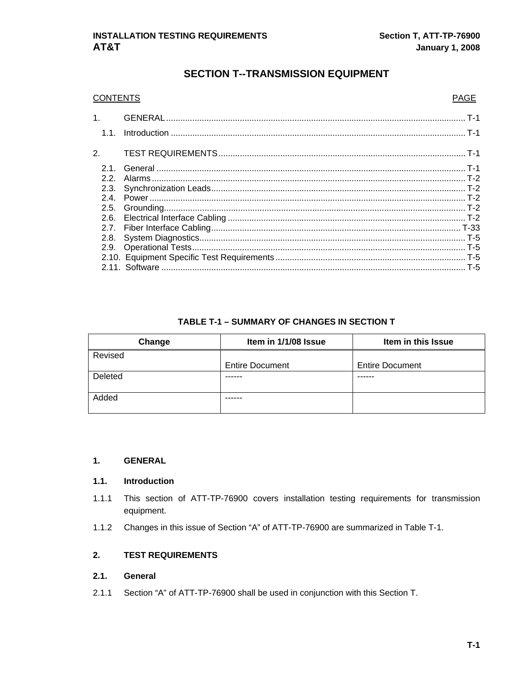#### **SECTION T--TRANSMISSION EQUIPMENT**

<span id="page-32-0"></span>

| <b>CONTENTS</b> | <b>PAGE</b> |
|-----------------|-------------|
| 1.77            |             |
| 1.1.            |             |
| 2.              |             |
| 21              |             |
| 22              |             |
| 2.3.            |             |
|                 |             |
|                 |             |
|                 |             |
|                 |             |
| 2.8.            |             |
|                 |             |
|                 |             |
|                 |             |

#### **TABLE T-1 – SUMMARY OF CHANGES IN SECTION T**

| Change  | Item in 1/1/08 Issue   | Item in this Issue     |  |  |
|---------|------------------------|------------------------|--|--|
| Revised |                        |                        |  |  |
|         | <b>Entire Document</b> | <b>Entire Document</b> |  |  |
| Deleted |                        |                        |  |  |
|         |                        |                        |  |  |
| Added   |                        |                        |  |  |
|         |                        |                        |  |  |

#### **1. GENERAL**

#### **1.1. Introduction**

- 1.1.1 This section of ATT-TP-76900 covers installation testing requirements for transmission equipment.
- 1.1.2 Changes in this issue of Section "A" of ATT-TP-76900 are summarized in Table T-1.

#### **2. TEST REQUIREMENTS**

#### **2.1. General**

2.1.1 Section "A" of ATT-TP-76900 shall be used in conjunction with this Section T.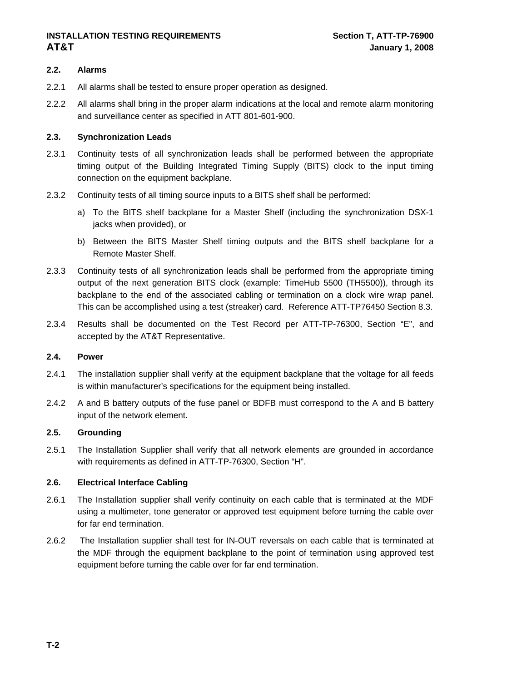#### <span id="page-33-0"></span>**INSTALLATION TESTING REQUIREMENTS FOR SECTION T, ATT-TP-76900 AT&T** January 1, 2008

#### **2.2. Alarms**

- 2.2.1 All alarms shall be tested to ensure proper operation as designed.
- 2.2.2 All alarms shall bring in the proper alarm indications at the local and remote alarm monitoring and surveillance center as specified in ATT 801-601-900.

#### **2.3. Synchronization Leads**

- 2.3.1 Continuity tests of all synchronization leads shall be performed between the appropriate timing output of the Building Integrated Timing Supply (BITS) clock to the input timing connection on the equipment backplane.
- 2.3.2 Continuity tests of all timing source inputs to a BITS shelf shall be performed:
	- a) To the BITS shelf backplane for a Master Shelf (including the synchronization DSX-1 jacks when provided), or
	- b) Between the BITS Master Shelf timing outputs and the BITS shelf backplane for a Remote Master Shelf.
- 2.3.3 Continuity tests of all synchronization leads shall be performed from the appropriate timing output of the next generation BITS clock (example: TimeHub 5500 (TH5500)), through its backplane to the end of the associated cabling or termination on a clock wire wrap panel. This can be accomplished using a test (streaker) card. Reference ATT-TP76450 Section 8.3.
- 2.3.4 Results shall be documented on the Test Record per ATT-TP-76300, Section "E", and accepted by the AT&T Representative.

#### **2.4. Power**

- 2.4.1 The installation supplier shall verify at the equipment backplane that the voltage for all feeds is within manufacturer's specifications for the equipment being installed.
- 2.4.2 A and B battery outputs of the fuse panel or BDFB must correspond to the A and B battery input of the network element.

#### **2.5. Grounding**

2.5.1 The Installation Supplier shall verify that all network elements are grounded in accordance with requirements as defined in ATT-TP-76300, Section "H".

#### **2.6. Electrical Interface Cabling**

- 2.6.1 The Installation supplier shall verify continuity on each cable that is terminated at the MDF using a multimeter, tone generator or approved test equipment before turning the cable over for far end termination.
- 2.6.2 The Installation supplier shall test for IN-OUT reversals on each cable that is terminated at the MDF through the equipment backplane to the point of termination using approved test equipment before turning the cable over for far end termination.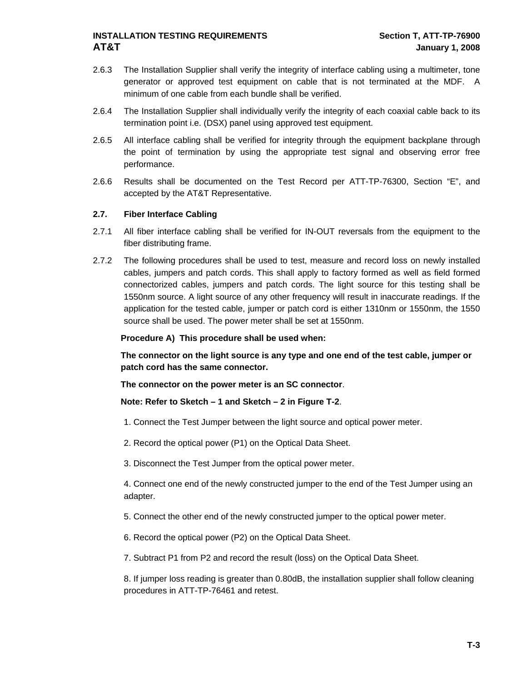- <span id="page-34-0"></span>2.6.3 The Installation Supplier shall verify the integrity of interface cabling using a multimeter, tone generator or approved test equipment on cable that is not terminated at the MDF. A minimum of one cable from each bundle shall be verified.
- 2.6.4 The Installation Supplier shall individually verify the integrity of each coaxial cable back to its termination point i.e. (DSX) panel using approved test equipment.
- 2.6.5 All interface cabling shall be verified for integrity through the equipment backplane through the point of termination by using the appropriate test signal and observing error free performance.
- 2.6.6 Results shall be documented on the Test Record per ATT-TP-76300, Section "E", and accepted by the AT&T Representative.

#### **2.7. Fiber Interface Cabling**

- 2.7.1 All fiber interface cabling shall be verified for IN-OUT reversals from the equipment to the fiber distributing frame.
- 2.7.2 The following procedures shall be used to test, measure and record loss on newly installed cables, jumpers and patch cords. This shall apply to factory formed as well as field formed connectorized cables, jumpers and patch cords. The light source for this testing shall be 1550nm source. A light source of any other frequency will result in inaccurate readings. If the application for the tested cable, jumper or patch cord is either 1310nm or 1550nm, the 1550 source shall be used. The power meter shall be set at 1550nm.

#### **Procedure A) This procedure shall be used when:**

**The connector on the light source is any type and one end of the test cable, jumper or patch cord has the same connector.** 

**The connector on the power meter is an SC connector**.

#### **Note: Refer to Sketch – 1 and Sketch – 2 in Figure T-2**.

- 1. Connect the Test Jumper between the light source and optical power meter.
- 2. Record the optical power (P1) on the Optical Data Sheet.

3. Disconnect the Test Jumper from the optical power meter.

4. Connect one end of the newly constructed jumper to the end of the Test Jumper using an adapter.

5. Connect the other end of the newly constructed jumper to the optical power meter.

6. Record the optical power (P2) on the Optical Data Sheet.

7. Subtract P1 from P2 and record the result (loss) on the Optical Data Sheet.

8. If jumper loss reading is greater than 0.80dB, the installation supplier shall follow cleaning procedures in ATT-TP-76461 and retest.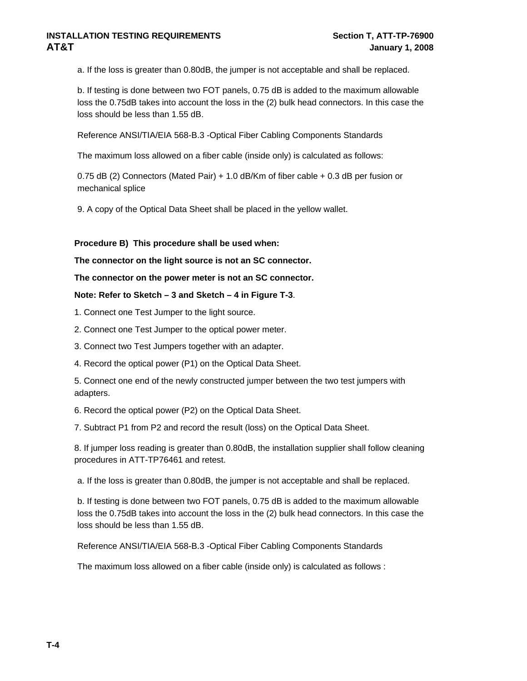a. If the loss is greater than 0.80dB, the jumper is not acceptable and shall be replaced.

b. If testing is done between two FOT panels, 0.75 dB is added to the maximum allowable loss the 0.75dB takes into account the loss in the (2) bulk head connectors. In this case the loss should be less than 1.55 dB.

Reference ANSI/TIA/EIA 568-B.3 -Optical Fiber Cabling Components Standards

The maximum loss allowed on a fiber cable (inside only) is calculated as follows:

0.75 dB (2) Connectors (Mated Pair) + 1.0 dB/Km of fiber cable + 0.3 dB per fusion or mechanical splice

9. A copy of the Optical Data Sheet shall be placed in the yellow wallet.

**Procedure B) This procedure shall be used when:** 

**The connector on the light source is not an SC connector.** 

**The connector on the power meter is not an SC connector.** 

#### **Note: Refer to Sketch – 3 and Sketch – 4 in Figure T-3**.

1. Connect one Test Jumper to the light source.

2. Connect one Test Jumper to the optical power meter.

3. Connect two Test Jumpers together with an adapter.

4. Record the optical power (P1) on the Optical Data Sheet.

5. Connect one end of the newly constructed jumper between the two test jumpers with adapters.

6. Record the optical power (P2) on the Optical Data Sheet.

7. Subtract P1 from P2 and record the result (loss) on the Optical Data Sheet.

8. If jumper loss reading is greater than 0.80dB, the installation supplier shall follow cleaning procedures in ATT-TP76461 and retest.

a. If the loss is greater than 0.80dB, the jumper is not acceptable and shall be replaced.

b. If testing is done between two FOT panels, 0.75 dB is added to the maximum allowable loss the 0.75dB takes into account the loss in the (2) bulk head connectors. In this case the loss should be less than 1.55 dB.

Reference ANSI/TIA/EIA 568-B.3 -Optical Fiber Cabling Components Standards

The maximum loss allowed on a fiber cable (inside only) is calculated as follows :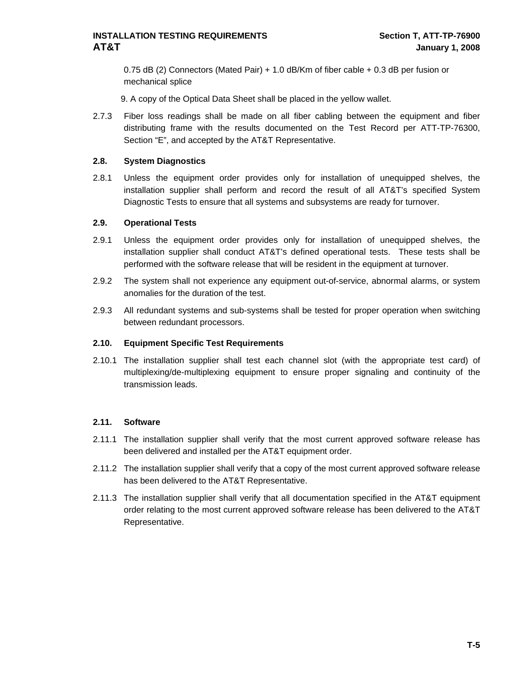<span id="page-36-0"></span>0.75 dB (2) Connectors (Mated Pair) + 1.0 dB/Km of fiber cable + 0.3 dB per fusion or mechanical splice

9. A copy of the Optical Data Sheet shall be placed in the yellow wallet.

2.7.3 Fiber loss readings shall be made on all fiber cabling between the equipment and fiber distributing frame with the results documented on the Test Record per ATT-TP-76300, Section "E", and accepted by the AT&T Representative.

#### **2.8. System Diagnostics**

2.8.1 Unless the equipment order provides only for installation of unequipped shelves, the installation supplier shall perform and record the result of all AT&T's specified System Diagnostic Tests to ensure that all systems and subsystems are ready for turnover.

#### **2.9. Operational Tests**

- 2.9.1 Unless the equipment order provides only for installation of unequipped shelves, the installation supplier shall conduct AT&T's defined operational tests. These tests shall be performed with the software release that will be resident in the equipment at turnover.
- 2.9.2 The system shall not experience any equipment out-of-service, abnormal alarms, or system anomalies for the duration of the test.
- 2.9.3 All redundant systems and sub-systems shall be tested for proper operation when switching between redundant processors.

#### **2.10. Equipment Specific Test Requirements**

2.10.1 The installation supplier shall test each channel slot (with the appropriate test card) of multiplexing/de-multiplexing equipment to ensure proper signaling and continuity of the transmission leads.

#### **2.11. Software**

- 2.11.1 The installation supplier shall verify that the most current approved software release has been delivered and installed per the AT&T equipment order.
- 2.11.2 The installation supplier shall verify that a copy of the most current approved software release has been delivered to the AT&T Representative.
- 2.11.3 The installation supplier shall verify that all documentation specified in the AT&T equipment order relating to the most current approved software release has been delivered to the AT&T Representative.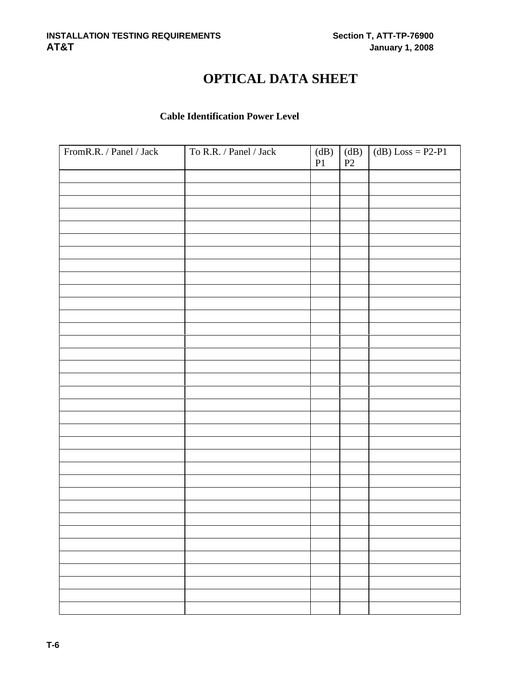# **OPTICAL DATA SHEET**

# **Cable Identification Power Level**

| FromR.R. / Panel / Jack | To R.R. / Panel / Jack | (dB)<br>P1 | (dB)<br>$\mathbf{P}2$ | $(dB) Loss = P2-P1$ |
|-------------------------|------------------------|------------|-----------------------|---------------------|
|                         |                        |            |                       |                     |
|                         |                        |            |                       |                     |
|                         |                        |            |                       |                     |
|                         |                        |            |                       |                     |
|                         |                        |            |                       |                     |
|                         |                        |            |                       |                     |
|                         |                        |            |                       |                     |
|                         |                        |            |                       |                     |
|                         |                        |            |                       |                     |
|                         |                        |            |                       |                     |
|                         |                        |            |                       |                     |
|                         |                        |            |                       |                     |
|                         |                        |            |                       |                     |
|                         |                        |            |                       |                     |
|                         |                        |            |                       |                     |
|                         |                        |            |                       |                     |
|                         |                        |            |                       |                     |
|                         |                        |            |                       |                     |
|                         |                        |            |                       |                     |
|                         |                        |            |                       |                     |
|                         |                        |            |                       |                     |
|                         |                        |            |                       |                     |
|                         |                        |            |                       |                     |
|                         |                        |            |                       |                     |
|                         |                        |            |                       |                     |
|                         |                        |            |                       |                     |
|                         |                        |            |                       |                     |
|                         |                        |            |                       |                     |
|                         |                        |            |                       |                     |
|                         |                        |            |                       |                     |
|                         |                        |            |                       |                     |
|                         |                        |            |                       |                     |
|                         |                        |            |                       |                     |
|                         |                        |            |                       |                     |
|                         |                        |            |                       |                     |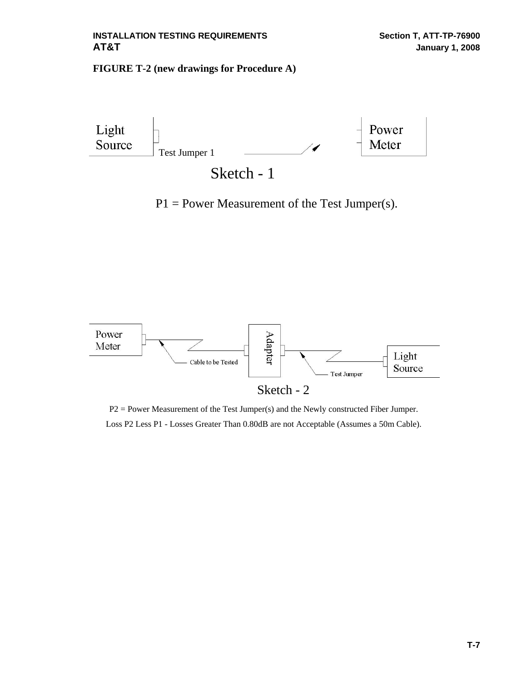#### **FIGURE T-2 (new drawings for Procedure A)**



 $P1 = Power Measurement of the Test Jumper(s).$ 



P2 = Power Measurement of the Test Jumper(s) and the Newly constructed Fiber Jumper. Loss P2 Less P1 - Losses Greater Than 0.80dB are not Acceptable (Assumes a 50m Cable).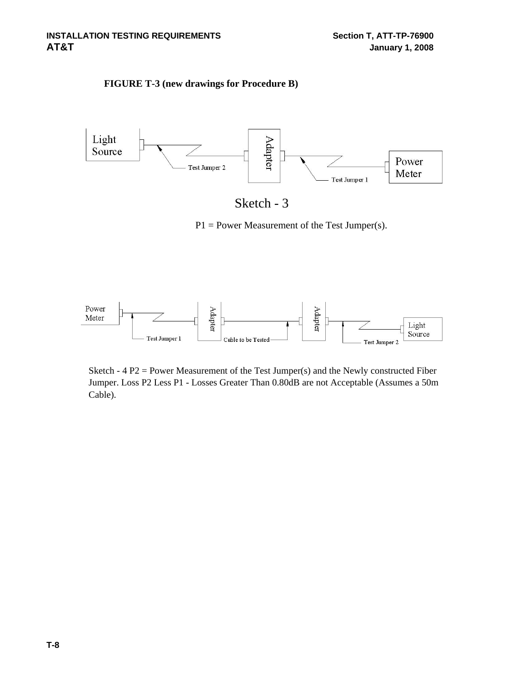### **FIGURE T-3 (new drawings for Procedure B)**



| Sketch |  |
|--------|--|
|--------|--|

P1 = Power Measurement of the Test Jumper(s).



Sketch -  $4 P2 = Power Measurement of the Test Jump of the Newly constructed Fiber$ Jumper. Loss P2 Less P1 - Losses Greater Than 0.80dB are not Acceptable (Assumes a 50m Cable).